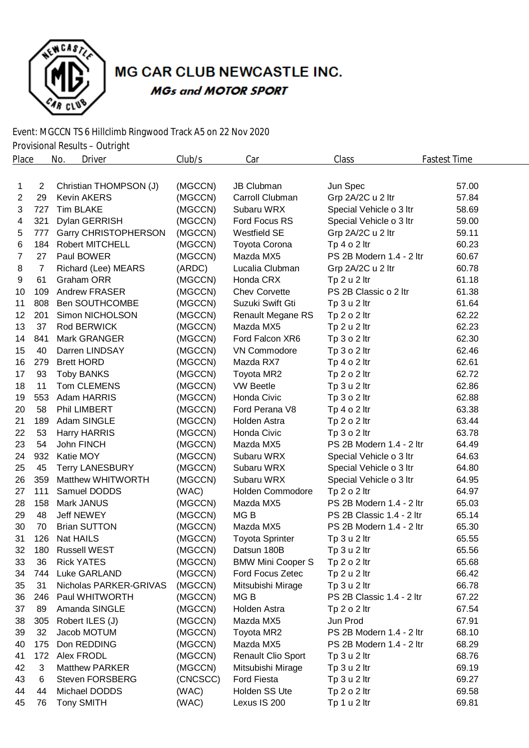

## MG CAR CLUB NEWCASTLE INC. **MGs and MOTOR SPORT**

Event: MGCCN TS 6 Hillclimb Ringwood Track A5 on 22 Nov 2020

Provisional Results – Outright

| Place |                | No.<br>Driver               | Club/s   | Car                       | Class                     | <b>Fastest Time</b> |
|-------|----------------|-----------------------------|----------|---------------------------|---------------------------|---------------------|
|       |                |                             |          |                           |                           |                     |
| 1     | 2              | Christian THOMPSON (J)      | (MGCCN)  | <b>JB Clubman</b>         | Jun Spec                  | 57.00               |
| 2     | 29             | <b>Kevin AKERS</b>          | (MGCCN)  | Carroll Clubman           | Grp 2A/2C u 2 ltr         | 57.84               |
| 3     | 727            | <b>Tim BLAKE</b>            | (MGCCN)  | Subaru WRX                | Special Vehicle o 3 ltr   | 58.69               |
| 4     | 321            | Dylan GERRISH               | (MGCCN)  | Ford Focus RS             | Special Vehicle o 3 ltr   | 59.00               |
| 5     | 777            | <b>Garry CHRISTOPHERSON</b> | (MGCCN)  | <b>Westfield SE</b>       | Grp 2A/2C u 2 ltr         | 59.11               |
| 6     | 184            | <b>Robert MITCHELL</b>      | (MGCCN)  | Toyota Corona             | Tp 4 o 2 ltr              | 60.23               |
| 7     | 27             | Paul BOWER                  | (MGCCN)  | Mazda MX5                 | PS 2B Modern 1.4 - 2 ltr  | 60.67               |
| 8     | $\overline{7}$ | Richard (Lee) MEARS         | (ARDC)   | Lucalia Clubman           | Grp 2A/2C u 2 ltr         | 60.78               |
| 9     | 61             | Graham ORR                  | (MGCCN)  | Honda CRX                 | Tp 2 u 2 ltr              | 61.18               |
| 10    | 109            | Andrew FRASER               | (MGCCN)  | <b>Chev Corvette</b>      | PS 2B Classic o 2 ltr     | 61.38               |
| 11    | 808            | <b>Ben SOUTHCOMBE</b>       | (MGCCN)  | Suzuki Swift Gti          | Tp 3 u 2 ltr              | 61.64               |
| 12    | 201            | Simon NICHOLSON             | (MGCCN)  | <b>Renault Megane RS</b>  | Tp 2 o 2 ltr              | 62.22               |
| 13    | 37             | Rod BERWICK                 | (MGCCN)  | Mazda MX5                 | Tp 2 u 2 ltr              | 62.23               |
| 14    | 841            | Mark GRANGER                | (MGCCN)  | Ford Falcon XR6           | Tp 3 o 2 ltr              | 62.30               |
| 15    | 40             | Darren LINDSAY              | (MGCCN)  | <b>VN Commodore</b>       | Tp 3 o 2 ltr              | 62.46               |
| 16    | 279            | <b>Brett HORD</b>           | (MGCCN)  | Mazda RX7                 | Tp 4 o 2 ltr              | 62.61               |
| 17    | 93             | <b>Toby BANKS</b>           | (MGCCN)  | Toyota MR2                | Tp 2 o 2 ltr              | 62.72               |
| 18    | 11             | Tom CLEMENS                 | (MGCCN)  | <b>VW Beetle</b>          | Tp 3 u 2 ltr              | 62.86               |
| 19    | 553            | Adam HARRIS                 | (MGCCN)  | Honda Civic               | Tp 3 o 2 ltr              | 62.88               |
| 20    | 58             | Phil LIMBERT                | (MGCCN)  | Ford Perana V8            | Tp $4$ o $2$ ltr          | 63.38               |
| 21    | 189            | Adam SINGLE                 | (MGCCN)  | Holden Astra              | Tp 2 o 2 ltr              | 63.44               |
| 22    | 53             | Harry HARRIS                | (MGCCN)  | Honda Civic               | Tp 3 o 2 ltr              | 63.78               |
| 23    | 54             | John FINCH                  | (MGCCN)  | Mazda MX5                 | PS 2B Modern 1.4 - 2 ltr  | 64.49               |
| 24    | 932            | Katie MOY                   | (MGCCN)  | Subaru WRX                | Special Vehicle o 3 ltr   | 64.63               |
| 25    | 45             | <b>Terry LANESBURY</b>      | (MGCCN)  | Subaru WRX                | Special Vehicle o 3 ltr   | 64.80               |
| 26    | 359            | <b>Matthew WHITWORTH</b>    | (MGCCN)  | Subaru WRX                | Special Vehicle o 3 ltr   | 64.95               |
| 27    | 111            | Samuel DODDS                | (WAC)    | <b>Holden Commodore</b>   | Tp 2 o 2 ltr              | 64.97               |
| 28    | 158            | Mark JANUS                  | (MGCCN)  | Mazda MX5                 | PS 2B Modern 1.4 - 2 ltr  | 65.03               |
| 29    | 48             | <b>Jeff NEWEY</b>           | (MGCCN)  | MG <sub>B</sub>           | PS 2B Classic 1.4 - 2 ltr | 65.14               |
| 30    | 70             | <b>Brian SUTTON</b>         | (MGCCN)  | Mazda MX5                 | PS 2B Modern 1.4 - 2 ltr  | 65.30               |
| 31    | 126            | <b>Nat HAILS</b>            | (MGCCN)  | <b>Toyota Sprinter</b>    | Tp 3 u 2 ltr              | 65.55               |
| 32    | 180            | <b>Russell WEST</b>         | (MGCCN)  | Datsun 180B               | Tp 3 u 2 ltr              | 65.56               |
| 33    | 36             | <b>Rick YATES</b>           | (MGCCN)  | <b>BMW Mini Cooper S</b>  | Tp 2 o 2 ltr              | 65.68               |
| 34    | 744            | Luke GARLAND                | (MGCCN)  | Ford Focus Zetec          | Tp 2 u 2 ltr              | 66.42               |
| 35    | 31             | Nicholas PARKER-GRIVAS      | (MGCCN)  | Mitsubishi Mirage         | Tp 3 u 2 ltr              | 66.78               |
| 36    | 246            | Paul WHITWORTH              | (MGCCN)  | MG B                      | PS 2B Classic 1.4 - 2 ltr | 67.22               |
| 37    | 89             | Amanda SINGLE               | (MGCCN)  | Holden Astra              | Tp 2 o 2 ltr              | 67.54               |
| 38    | 305            | Robert ILES (J)             | (MGCCN)  | Mazda MX5                 | Jun Prod                  | 67.91               |
| 39    | 32             | Jacob MOTUM                 | (MGCCN)  | Toyota MR2                | PS 2B Modern 1.4 - 2 ltr  | 68.10               |
| 40    | 175            | Don REDDING                 | (MGCCN)  | Mazda MX5                 | PS 2B Modern 1.4 - 2 ltr  | 68.29               |
| 41    | 172            | Alex FRODL                  | (MGCCN)  | <b>Renault Clio Sport</b> | Tp 3 u 2 ltr              | 68.76               |
| 42    | 3              | Matthew PARKER              | (MGCCN)  | Mitsubishi Mirage         | Tp 3 u 2 ltr              | 69.19               |
| 43    | 6              | <b>Steven FORSBERG</b>      | (CNCSCC) | Ford Fiesta               | Tp 3 u 2 ltr              | 69.27               |
| 44    | 44             | Michael DODDS               | (WAC)    | Holden SS Ute             | Tp 2 o 2 ltr              | 69.58               |
| 45    | 76             | <b>Tony SMITH</b>           | (WAC)    | Lexus IS 200              | Tp 1 u 2 ltr              | 69.81               |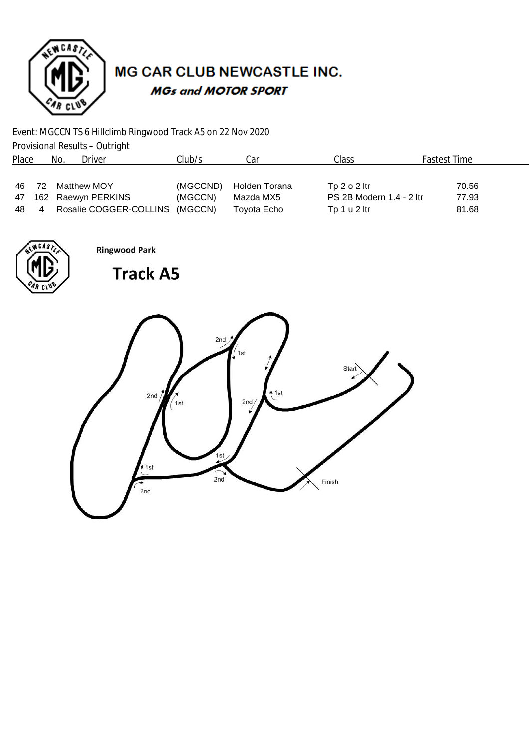

## MG CAR CLUB NEWCASTLE INC. **MGs and MOTOR SPORT**

Event: MGCCN TS 6 Hillclimb Ringwood Track A5 on 22 Nov 2020

Provisional Results – Outright

| Place | No. | Driver                         | Club/s   | Car           | Class                    | <b>Fastest Time</b> |
|-------|-----|--------------------------------|----------|---------------|--------------------------|---------------------|
|       |     |                                |          |               |                          |                     |
| 46 72 |     | Matthew MOY                    | (MGCCND) | Holden Torana | Tp $2$ o $2$ ltr         | 70.56               |
|       |     | 47 162 Raewyn PERKINS          | (MGCCN)  | Mazda MX5     | PS 2B Modern 1.4 - 2 ltr | 77.93               |
| -48   |     | Rosalie COGGER-COLLINS (MGCCN) |          | Toyota Echo   | Tp $1 u 2$ ltr           | 81.68               |



**Ringwood Park** 

**Track A5** 

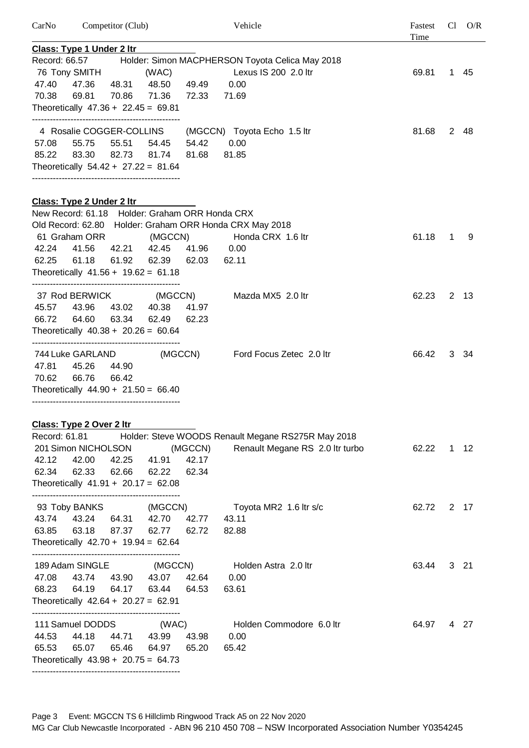| CarNo         |                                                                                | Competitor (Club) |                        |         | Vehicle                                                                               | Fastest<br>Time |   | $Cl$ $O/R$   |
|---------------|--------------------------------------------------------------------------------|-------------------|------------------------|---------|---------------------------------------------------------------------------------------|-----------------|---|--------------|
|               | <u>Class: Type 1 Under 2 ltree</u>                                             |                   |                        |         |                                                                                       |                 |   |              |
|               |                                                                                |                   |                        |         | Record: 66.57 Holder: Simon MACPHERSON Toyota Celica May 2018                         |                 |   |              |
|               | 76 Tony SMITH                                                                  |                   | (WAC)                  |         | Lexus IS 200 2.0 ltr                                                                  | 69.81           |   | 1 45         |
| 47.40         | 47.36                                                                          | 48.31 48.50       |                        | 49.49   | 0.00                                                                                  |                 |   |              |
| 70.38         | 69.81                                                                          | 70.86             | 71.36                  | 72.33   | 71.69                                                                                 |                 |   |              |
|               | Theoretically $47.36 + 22.45 = 69.81$                                          |                   |                        |         |                                                                                       |                 |   |              |
|               | 4 Rosalie COGGER-COLLINS                                                       |                   |                        |         | (MGCCN) Toyota Echo 1.5 ltr                                                           | 81.68           |   | 2 48         |
| 57.08         | 55.75                                                                          |                   | 55.51 54.45            | 54.42   | 0.00                                                                                  |                 |   |              |
| 85.22         |                                                                                |                   | 83.30 82.73 81.74      | 81.68   | 81.85                                                                                 |                 |   |              |
|               | Theoretically $54.42 + 27.22 = 81.64$                                          |                   |                        |         |                                                                                       |                 |   |              |
|               | <b>Class: Type 2 Under 2 Itr</b>                                               |                   |                        |         |                                                                                       |                 |   |              |
|               | New Record: 61.18 Holder: Graham ORR Honda CRX                                 |                   |                        |         |                                                                                       |                 |   |              |
|               |                                                                                |                   |                        |         | Old Record: 62.80 Holder: Graham ORR Honda CRX May 2018                               |                 |   |              |
|               | 61 Graham ORR                                                                  |                   | (MGCCN)                |         | Honda CRX 1.6 ltr                                                                     | 61.18           | 1 | 9            |
| 42.24         | 41.56                                                                          | 42.21             | 42.45                  | 41.96   | 0.00                                                                                  |                 |   |              |
| 62.25         | 61.18                                                                          | 61.92             | 62.39                  | 62.03   | 62.11                                                                                 |                 |   |              |
|               | Theoretically $41.56 + 19.62 = 61.18$                                          |                   |                        |         |                                                                                       |                 |   |              |
|               | 37 Rod BERWICK (MGCCN)                                                         |                   |                        |         | Mazda MX5 2.0 ltr                                                                     | 62.23           |   | 2 13         |
|               | 45.57 43.96                                                                    | 43.02 40.38       |                        | 41.97   |                                                                                       |                 |   |              |
| 66.72         | 64.60                                                                          | 63.34             | 62.49                  | 62.23   |                                                                                       |                 |   |              |
|               | Theoretically $40.38 + 20.26 = 60.64$                                          |                   |                        |         |                                                                                       |                 |   |              |
|               | 744 Luke GARLAND                                                               |                   |                        |         | (MGCCN) Ford Focus Zetec 2.0 ltr                                                      | 66.42           |   | 3 34         |
| 47.81         | 45.26                                                                          | 44.90             |                        |         |                                                                                       |                 |   |              |
| 70.62         | 66.76                                                                          | 66.42             |                        |         |                                                                                       |                 |   |              |
|               | Theoretically $44.90 + 21.50 = 66.40$                                          |                   |                        |         |                                                                                       |                 |   |              |
|               |                                                                                |                   |                        |         |                                                                                       |                 |   |              |
| Record: 61.81 | <b>Class: Type 2 Over 2 Itr</b>                                                |                   |                        |         |                                                                                       |                 |   |              |
|               | 201 Simon NICHOLSON                                                            |                   |                        | (MGCCN) | Holder: Steve WOODS Renault Megane RS275R May 2018<br>Renault Megane RS 2.0 Itr turbo | 62.22           |   | $1 \quad 12$ |
| 42.12         | 42.00                                                                          | 42.25             | 41.91                  | 42.17   |                                                                                       |                 |   |              |
| 62.34         | 62.33                                                                          | 62.66             | 62.22                  | 62.34   |                                                                                       |                 |   |              |
|               | Theoretically $41.91 + 20.17 = 62.08$                                          |                   |                        |         |                                                                                       |                 |   |              |
|               |                                                                                |                   |                        |         |                                                                                       |                 |   |              |
| 43.74         | 93 Toby BANKS<br>43.24                                                         |                   | (MGCCN)<br>64.31 42.70 | 42.77   | Toyota MR2 1.6 ltr s/c<br>43.11                                                       | 62.72           |   | 2 17         |
| 63.85         | 63.18                                                                          | 87.37             | 62.77                  | 62.72   | 82.88                                                                                 |                 |   |              |
|               | Theoretically $42.70 + 19.94 = 62.64$                                          |                   |                        |         |                                                                                       |                 |   |              |
|               |                                                                                |                   |                        |         |                                                                                       |                 |   |              |
|               | 189 Adam SINGLE                                                                |                   | (MGCCN)                |         | Holden Astra 2.0 ltr                                                                  | 63.44           |   | 3 21         |
| 47.08         | 43.74                                                                          | 43.90             | 43.07 42.64            |         | 0.00                                                                                  |                 |   |              |
| 68.23         | 64.19                                                                          | 64.17             | 63.44                  | 64.53   | 63.61                                                                                 |                 |   |              |
|               | Theoretically $42.64 + 20.27 = 62.91$<br>------------------------------------- |                   |                        |         |                                                                                       |                 |   |              |
|               | 111 Samuel DODDS                                                               |                   | (WAC)                  |         | Holden Commodore 6.0 ltr                                                              | 64.97           |   | 4 27         |
| 44.53         | 44.18                                                                          | 44.71             | 43.99                  | 43.98   | 0.00                                                                                  |                 |   |              |
| 65.53         | 65.07                                                                          | 65.46             | 64.97                  | 65.20   | 65.42                                                                                 |                 |   |              |
|               | Theoretically $43.98 + 20.75 = 64.73$                                          |                   |                        |         |                                                                                       |                 |   |              |
|               |                                                                                |                   |                        |         |                                                                                       |                 |   |              |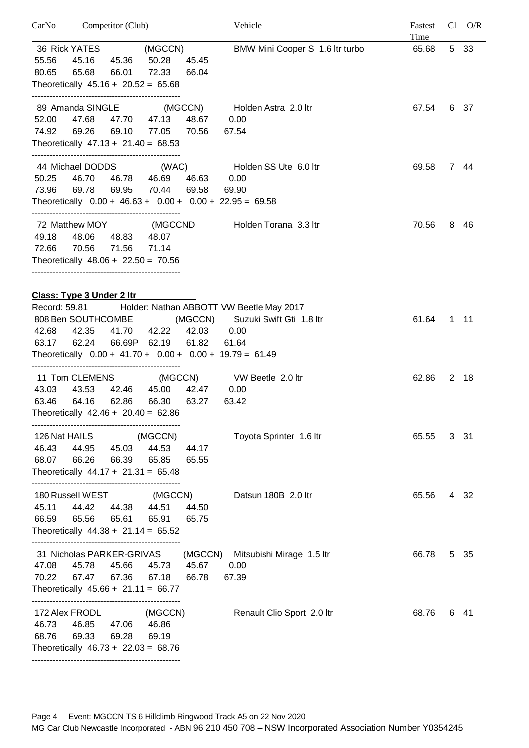| CarNo Competitor (Club)               |                                                            | Vehicle                                                | Fastest<br>Time |   | $Cl$ $O/R$ |
|---------------------------------------|------------------------------------------------------------|--------------------------------------------------------|-----------------|---|------------|
| 36 Rick YATES                         | (MGCCN)                                                    | BMW Mini Cooper S 1.6 Itr turbo                        | 65.68           |   | 5 33       |
| 45.16<br>55.56                        | 45.36 50.28<br>45.45                                       |                                                        |                 |   |            |
| 80.65<br>65.68                        | 66.01<br>72.33<br>66.04                                    |                                                        |                 |   |            |
| Theoretically $45.16 + 20.52 = 65.68$ |                                                            |                                                        |                 |   |            |
|                                       |                                                            | 89 Amanda SINGLE (MGCCN) Holden Astra 2.0 ltr          | 67.54           |   | 6 37       |
| 52.00<br>47.68                        | 47.70 47.13<br>48.67                                       | 0.00                                                   |                 |   |            |
| 74.92<br>69.26                        | 69.10<br>77.05 70.56                                       | 67.54                                                  |                 |   |            |
| Theoretically $47.13 + 21.40 = 68.53$ |                                                            |                                                        |                 |   |            |
|                                       |                                                            | 44 Michael DODDS (WAC) Holden SS Ute 6.0 ltr           | 69.58           |   | 7 44       |
|                                       | 50.25  46.70  46.78  46.69  46.63                          | 0.00                                                   |                 |   |            |
| 69.78<br>73.96                        | 69.95 70.44 69.58                                          | 69.90                                                  |                 |   |            |
|                                       | Theoretically $0.00 + 46.63 + 0.00 + 0.00 + 22.95 = 69.58$ |                                                        |                 |   |            |
|                                       | 72 Matthew MOY (MGCCND                                     | Holden Torana 3.3 ltr                                  | 70.56           |   | 8 46       |
| 49.18<br>48.06                        | 48.83 48.07                                                |                                                        |                 |   |            |
| 72.66<br>70.56                        | 71.56<br>71.14                                             |                                                        |                 |   |            |
| Theoretically $48.06 + 22.50 = 70.56$ |                                                            |                                                        |                 |   |            |
|                                       |                                                            |                                                        |                 |   |            |
| Class: Type 3 Under 2 Itr             |                                                            | Record: 59.81 Holder: Nathan ABBOTT VW Beetle May 2017 |                 |   |            |
|                                       |                                                            | 808 Ben SOUTHCOMBE (MGCCN) Suzuki Swift Gti 1.8 ltr    | 61.64           |   | $1 \t11$   |
| 42.68 42.35 41.70 42.22               |                                                            | 42.03 0.00                                             |                 |   |            |
| 63.17                                 | 62.24   66.69P   62.19<br>61.82                            | 61.64                                                  |                 |   |            |
|                                       | Theoretically $0.00 + 41.70 + 0.00 + 0.00 + 19.79 = 61.49$ |                                                        |                 |   |            |
|                                       |                                                            | 11 Tom CLEMENS (MGCCN) VW Beetle 2.0 ltr               | 62.86           |   | 2 18       |
|                                       | 43.03 43.53 42.46 45.00 42.47 0.00                         |                                                        |                 |   |            |
| 64.16<br>63.46                        | 62.86<br>66.30 63.27                                       | 63.42                                                  |                 |   |            |
| Theoretically $42.46 + 20.40 = 62.86$ |                                                            |                                                        |                 |   |            |
| 126 Nat HAILS                         | (MGCCN)                                                    | Toyota Sprinter 1.6 ltr                                | 65.55           |   | 3 31       |
| 46.43<br>44.95                        | 44.53<br>45.03<br>44.17                                    |                                                        |                 |   |            |
| 66.26<br>68.07                        | 66.39<br>65.85<br>65.55                                    |                                                        |                 |   |            |
| Theoretically $44.17 + 21.31 = 65.48$ |                                                            |                                                        |                 |   |            |
| 180 Russell WEST                      | (MGCCN)                                                    | Datsun 180B 2.0 ltr                                    | 65.56           |   | 4 32       |
| 45.11 44.42                           | 44.38<br>44.51<br>44.50                                    |                                                        |                 |   |            |
| 66.59<br>65.56                        | 65.61<br>65.91<br>65.75                                    |                                                        |                 |   |            |
| Theoretically $44.38 + 21.14 = 65.52$ |                                                            |                                                        |                 |   |            |
| 31 Nicholas PARKER-GRIVAS             |                                                            | (MGCCN)<br>Mitsubishi Mirage 1.5 ltr                   | 66.78           |   | 5 35       |
| 47.08<br>45.78                        | 45.66<br>45.67<br>45.73                                    | 0.00                                                   |                 |   |            |
| 70.22<br>67.47                        | 67.36<br>66.78<br>67.18                                    | 67.39                                                  |                 |   |            |
| Theoretically $45.66 + 21.11 = 66.77$ |                                                            |                                                        |                 |   |            |
| 172 Alex FRODL                        | (MGCCN)                                                    | Renault Clio Sport 2.0 ltr                             | 68.76           | 6 | - 41       |
| 46.73<br>46.85                        | 46.86<br>47.06                                             |                                                        |                 |   |            |
| 68.76<br>69.33                        | 69.28<br>69.19                                             |                                                        |                 |   |            |
| Theoretically $46.73 + 22.03 = 68.76$ |                                                            |                                                        |                 |   |            |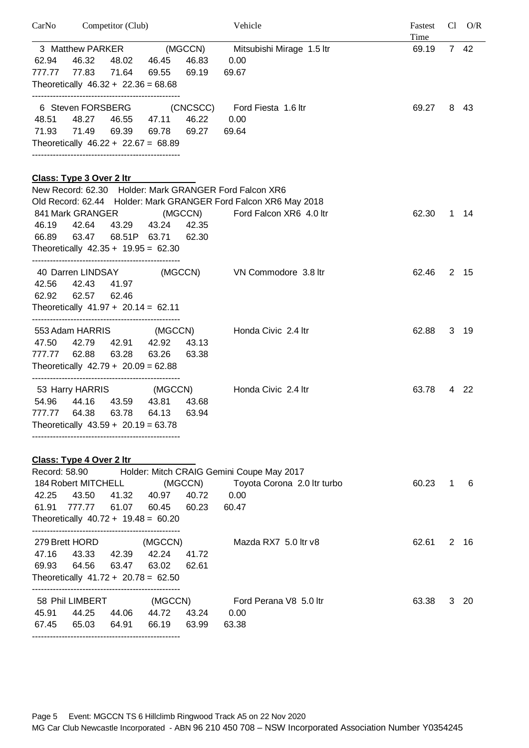| CarNo                            | Competitor (Club)                                                                                                                       |                                                                                              | Vehicle                                                                                    | Fastest<br>Time | $Cl$ $O/R$   |
|----------------------------------|-----------------------------------------------------------------------------------------------------------------------------------------|----------------------------------------------------------------------------------------------|--------------------------------------------------------------------------------------------|-----------------|--------------|
| 62.94<br>777.77                  | 3 Matthew PARKER<br>46.32<br>48.02<br>77.83<br>71.64<br>Theoretically $46.32 + 22.36 = 68.68$                                           | (MGCCN)<br>46.45<br>46.83<br>69.55<br>69.19                                                  | Mitsubishi Mirage 1.5 ltr<br>0.00<br>69.67                                                 | 69.19           | 7 42         |
| 48.51<br>71.93                   | 6 Steven FORSBERG<br>48.27<br>46.55 47.11<br>71.49<br>69.39<br>Theoretically $46.22 + 22.67 = 68.89$                                    | 46.22<br>69.78<br>69.27                                                                      | (CNCSCC) Ford Fiesta 1.6 ltr<br>0.00<br>69.64                                              | 69.27           | 8 43         |
| 46.19<br>66.89                   | <b>Class: Type 3 Over 2 Itr</b><br>841 Mark GRANGER<br>42.64<br>43.29<br>63.47<br>68.51P 63.71<br>Theoretically $42.35 + 19.95 = 62.30$ | New Record: 62.30 Holder: Mark GRANGER Ford Falcon XR6<br>(MGCCN)<br>43.24<br>42.35<br>62.30 | Old Record: 62.44 Holder: Mark GRANGER Ford Falcon XR6 May 2018<br>Ford Falcon XR6 4.0 ltr | 62.30           | $1 \quad 14$ |
| 42.56<br>62.92                   | 40 Darren LINDSAY<br>42.43<br>41.97<br>62.57<br>62.46<br>Theoretically $41.97 + 20.14 = 62.11$                                          | (MGCCN)                                                                                      | VN Commodore 3.8 ltr                                                                       | 62.46           | $2 \t15$     |
| 47.50<br>777.77                  | 553 Adam HARRIS<br>42.79<br>42.91<br>62.88<br>63.28<br>Theoretically $42.79 + 20.09 = 62.88$                                            | (MGCCN)<br>42.92<br>43.13<br>63.26<br>63.38                                                  | Honda Civic 2.4 ltr                                                                        | 62.88           | 3 19         |
| 54.96<br>777.77                  | 44.16<br>43.59<br>64.38<br>63.78<br>Theoretically $43.59 + 20.19 = 63.78$                                                               | 53 Harry HARRIS (MGCCN)<br>43.81<br>43.68<br>64.13<br>63.94                                  | Honda Civic 2.4 ltr                                                                        | 63.78           | 4 22         |
| 42.25<br>61.91                   | Class: Type 4 Over 2 Itr<br>Record: 58.90<br>184 Robert MITCHELL<br>43.50<br>777.77<br>61.07<br>Theoretically $40.72 + 19.48 = 60.20$   | (MGCCN)<br>41.32 40.97<br>40.72<br>60.23<br>60.45                                            | Holder: Mitch CRAIG Gemini Coupe May 2017<br>Toyota Corona 2.0 ltr turbo<br>0.00<br>60.47  | 60.23<br>1      | 6            |
| 279 Brett HORD<br>47.16<br>69.93 | 43.33<br>42.39<br>64.56<br>63.47<br>Theoretically $41.72 + 20.78 = 62.50$                                                               | (MGCCN)<br>42.24<br>41.72<br>63.02<br>62.61                                                  | Mazda RX7 5.0 ltr v8                                                                       | 62.61           | 2 16         |
| 45.91<br>67.45                   | 58 Phil LIMBERT<br>44.25<br>44.06<br>65.03<br>64.91                                                                                     | (MGCCN)<br>44.72<br>43.24<br>66.19<br>63.99                                                  | Ford Perana V8 5.0 ltr<br>0.00<br>63.38                                                    | 63.38           | 3 20         |

Page 5 Event: MGCCN TS 6 Hillclimb Ringwood Track A5 on 22 Nov 2020 MG Car Club Newcastle Incorporated - ABN 96 210 450 708 - NSW Incorporated Association Number Y0354245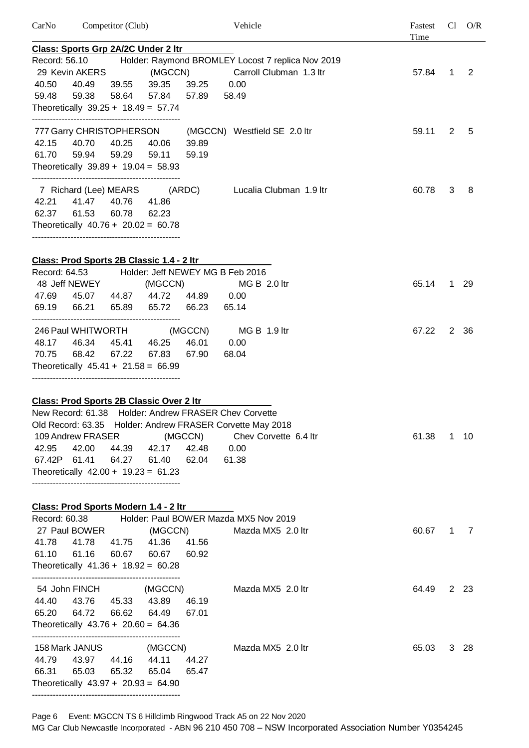| CarNo                  |                                                       | Competitor (Club) |                   |                | Vehicle                                                                              | Fastest<br>Time |             | $Cl$ $O/R$  |
|------------------------|-------------------------------------------------------|-------------------|-------------------|----------------|--------------------------------------------------------------------------------------|-----------------|-------------|-------------|
|                        | Class: Sports Grp 2A/2C Under 2 Itr                   |                   |                   |                |                                                                                      |                 |             |             |
| Record: 56.10<br>40.50 | 29 Kevin AKERS (MGCCN)<br>40.49                       |                   | 39.55 39.35       | 39.25          | Holder: Raymond BROMLEY Locost 7 replica Nov 2019<br>Carroll Clubman 1.3 ltr<br>0.00 | 57.84           | $\mathbf 1$ | 2           |
| 59.48                  | 59.38<br>Theoretically $39.25 + 18.49 = 57.74$        |                   | 58.64 57.84       |                | 57.89 58.49                                                                          |                 |             |             |
|                        |                                                       |                   |                   |                | 777 Garry CHRISTOPHERSON (MGCCN) Westfield SE 2.0 ltr                                | 59.11           | $2^{\circ}$ | -5          |
|                        | 42.15 40.70<br>61.70 59.94 59.29 59.11                |                   | 40.25 40.06       | 39.89<br>59.19 |                                                                                      |                 |             |             |
|                        | Theoretically $39.89 + 19.04 = 58.93$                 |                   |                   |                |                                                                                      |                 |             |             |
|                        |                                                       |                   |                   |                | 7 Richard (Lee) MEARS (ARDC) Lucalia Clubman 1.9 ltr                                 | 60.78           | 3           | 8           |
|                        | 42.21 41.47 40.76                                     |                   | 41.86             |                |                                                                                      |                 |             |             |
|                        | 62.37 61.53 60.78                                     |                   | 62.23             |                |                                                                                      |                 |             |             |
|                        | Theoretically $40.76 + 20.02 = 60.78$                 |                   |                   |                |                                                                                      |                 |             |             |
|                        | Class: Prod Sports 2B Classic 1.4 - 2 ltr             |                   |                   |                |                                                                                      |                 |             |             |
|                        |                                                       |                   |                   |                | Record: 64.53 Holder: Jeff NEWEY MG B Feb 2016                                       |                 |             |             |
|                        | 48 Jeff NEWEY                                         |                   | (MGCCN)           |                | $MGB 2.0$ ltr                                                                        | 65.14           |             | 1 29        |
|                        | 47.69  45.07  44.87  44.72  44.89  0.00               |                   |                   |                |                                                                                      |                 |             |             |
|                        | 69.19  66.21  65.89  65.72  66.23  65.14              |                   |                   |                |                                                                                      |                 |             |             |
|                        | 246 Paul WHITWORTH (MGCCN)                            |                   |                   |                | MG B 1.9 ltr                                                                         | 67.22           |             | 2 36        |
|                        | 48.17 46.34 45.41 46.25                               |                   |                   | 46.01          | 0.00                                                                                 |                 |             |             |
| 70.75                  | 68.42                                                 | 67.22             | 67.83             | 67.90          | 68.04                                                                                |                 |             |             |
|                        | Theoretically $45.41 + 21.58 = 66.99$                 |                   |                   |                |                                                                                      |                 |             |             |
|                        | <b>Class: Prod Sports 2B Classic Over 2 ltr</b>       |                   |                   |                |                                                                                      |                 |             |             |
|                        |                                                       |                   |                   |                | New Record: 61.38 Holder: Andrew FRASER Chev Corvette                                |                 |             |             |
|                        |                                                       |                   |                   |                | Old Record: 63.35 Holder: Andrew FRASER Corvette May 2018                            |                 |             |             |
|                        | 109 Andrew FRASER                                     |                   |                   | (MGCCN)        | Chev Corvette 6.4 ltr                                                                | 61.38           |             | 1 10        |
| 42.95                  | 42.00                                                 |                   | 44.39 42.17 42.48 |                | 0.00                                                                                 |                 |             |             |
|                        | 67.42P 61.41<br>Theoretically $42.00 + 19.23 = 61.23$ |                   | 64.27 61.40       | 62.04          | 61.38                                                                                |                 |             |             |
|                        |                                                       |                   |                   |                |                                                                                      |                 |             |             |
| Record: 60.38          | Class: Prod Sports Modern 1.4 - 2 ltr                 |                   |                   |                | Holder: Paul BOWER Mazda MX5 Nov 2019                                                |                 |             |             |
|                        | 27 Paul BOWER                                         |                   | (MGCCN)           |                | Mazda MX5 2.0 ltr                                                                    | 60.67           |             | $1 \quad 7$ |
| 41.78                  | 41.78                                                 |                   | 41.75 41.36       | 41.56          |                                                                                      |                 |             |             |
| 61.10                  | 61.16                                                 |                   | 60.67 60.67       | 60.92          |                                                                                      |                 |             |             |
|                        | Theoretically $41.36 + 18.92 = 60.28$                 |                   |                   |                |                                                                                      |                 |             |             |
|                        | 54 John FINCH                                         |                   | (MGCCN)           |                | Mazda MX5 2.0 ltr                                                                    | 64.49           |             | 2 2 3       |
| 44.40                  | 43.76                                                 | 45.33             | 43.89             | 46.19          |                                                                                      |                 |             |             |

158 Mark JANUS (MGCCN) Mazda MX5 2.0 ltr 65.03 3 28

Theoretically 43.97 + 20.93 = 64.90 --------------------------------------------------

65.20 64.72 66.62 64.49 67.01

44.79 43.97 44.16 44.11 44.27 66.31 65.03 65.32 65.04 65.47

Theoretically  $43.76 + 20.60 = 64.36$ --------------------------------------------------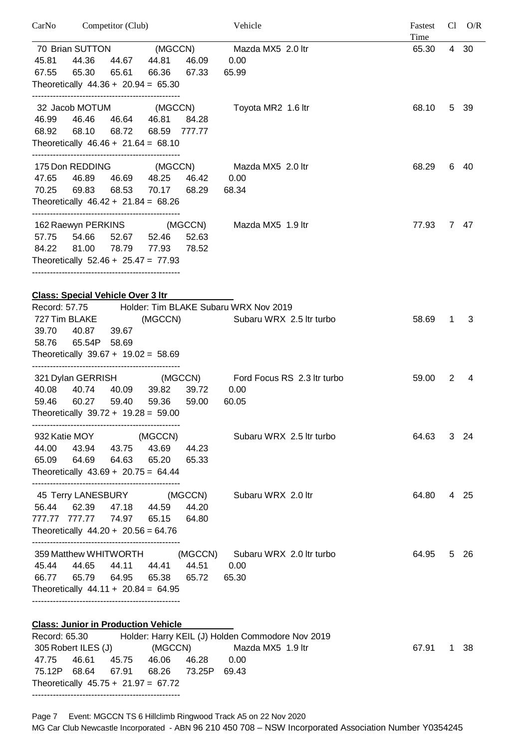| CarNo         | Competitor (Club)                          |              | Vehicle |                                                       | Fastest | $Cl$ $O/R$<br>Time |      |
|---------------|--------------------------------------------|--------------|---------|-------------------------------------------------------|---------|--------------------|------|
|               | 70 Brian SUTTON (MGCCN)                    |              |         | Mazda MX5 2.0 ltr                                     | 65.30   |                    | 4 30 |
| 45.81         | 44.36                                      | 44.67  44.81 | 46.09   | 0.00                                                  |         |                    |      |
| 67.55         | 65.61<br>65.30                             | 66.36        | 67.33   | 65.99                                                 |         |                    |      |
|               | Theoretically $44.36 + 20.94 = 65.30$      |              |         |                                                       |         |                    |      |
|               |                                            |              |         | 32 Jacob MOTUM (MGCCN) Toyota MR2 1.6 ltr             | 68.10   |                    | 5 39 |
| 46.99         | 46.46<br>46.64 46.81                       |              | 84.28   |                                                       |         |                    |      |
| 68.92         | 68.72<br>68.10                             | 68.59        | 777.77  |                                                       |         |                    |      |
|               | Theoretically $46.46 + 21.64 = 68.10$      |              |         |                                                       |         |                    |      |
|               | 175 Don REDDING (MGCCN)                    |              |         | Mazda MX5 2.0 ltr                                     | 68.29   |                    | 6 40 |
|               | 47.65 46.89<br>46.69 48.25                 |              | 46.42   | 0.00                                                  |         |                    |      |
| 70.25         | 69.83<br>68.53                             | 70.17        | 68.29   | 68.34                                                 |         |                    |      |
|               | Theoretically $46.42 + 21.84 = 68.26$      |              |         |                                                       |         |                    |      |
|               | 162 Raewyn PERKINS (MGCCN)                 |              |         | Mazda MX5 1.9 ltr                                     | 77.93   |                    | 7 47 |
|               | 57.75 54.66                                | 52.67 52.46  | 52.63   |                                                       |         |                    |      |
| 84.22         | 78.79<br>81.00                             | 77.93        | 78.52   |                                                       |         |                    |      |
|               | Theoretically $52.46 + 25.47 = 77.93$      |              |         |                                                       |         |                    |      |
|               | <b>Class: Special Vehicle Over 3 Itr</b>   |              |         |                                                       |         |                    |      |
|               |                                            |              |         | Record: 57.75 Holder: Tim BLAKE Subaru WRX Nov 2019   |         |                    |      |
|               | 727 Tim BLAKE                              |              |         | (MGCCN) Subaru WRX 2.5 ltr turbo                      | 58.69   | $\mathbf{1}$       | 3    |
|               | 39.70 40.87<br>39.67                       |              |         |                                                       |         |                    |      |
| 58.76         | 65.54P 58.69                               |              |         |                                                       |         |                    |      |
|               | Theoretically $39.67 + 19.02 = 58.69$      |              |         |                                                       |         |                    |      |
|               |                                            |              |         | 321 Dylan GERRISH (MGCCN) Ford Focus RS 2.3 ltr turbo | 59.00   | $2^{\circ}$        | 4    |
|               | 40.08  40.74  40.09  39.82                 |              | 39.72   | 0.00                                                  |         |                    |      |
|               | 59.46 60.27 59.40                          | 59.36        | 59.00   | 60.05                                                 |         |                    |      |
|               | Theoretically $39.72 + 19.28 = 59.00$      |              |         |                                                       |         |                    |      |
|               | 932 Katie MOY                              | (MGCCN)      |         | Subaru WRX 2.5 Itr turbo                              | 64.63   |                    | 3 24 |
|               | 44.00 43.94 43.75                          | 43.69        | 44.23   |                                                       |         |                    |      |
|               | 65.09 64.69 64.63                          | 65.20        | 65.33   |                                                       |         |                    |      |
|               | Theoretically $43.69 + 20.75 = 64.44$      |              |         |                                                       |         |                    |      |
|               | 45 Terry LANESBURY (MGCCN)                 |              |         | Subaru WRX 2.0 ltr                                    | 64.80   |                    | 4 25 |
| 56.44         | 62.39 47.18 44.59                          |              | 44.20   |                                                       |         |                    |      |
|               | 777.77 777.77 74.97                        | 65.15        | 64.80   |                                                       |         |                    |      |
|               | Theoretically $44.20 + 20.56 = 64.76$      |              |         |                                                       |         |                    |      |
|               | 359 Matthew WHITWORTH                      |              | (MGCCN) | Subaru WRX 2.0 ltr turbo                              | 64.95   |                    | 5 26 |
|               | 45.44 44.65<br>44.11                       | 44.41 44.51  |         | 0.00                                                  |         |                    |      |
|               | 66.77 65.79 64.95                          | 65.38        | 65.72   | 65.30                                                 |         |                    |      |
|               | Theoretically $44.11 + 20.84 = 64.95$      |              |         |                                                       |         |                    |      |
|               |                                            |              |         |                                                       |         |                    |      |
| Record: 65.30 | <b>Class: Junior in Production Vehicle</b> |              |         | Holder: Harry KEIL (J) Holden Commodore Nov 2019      |         |                    |      |
|               | 305 Robert ILES (J)                        | (MGCCN)      |         | Mazda MX5 1.9 ltr                                     | 67.91   | 1                  | -38  |
| 47.75         | 46.61 45.75 46.06                          |              | 46.28   | 0.00                                                  |         |                    |      |

75.12P 68.64 67.91 68.26 73.25P 69.43

Theoretically 45.75 + 21.97 = 67.72 --------------------------------------------------